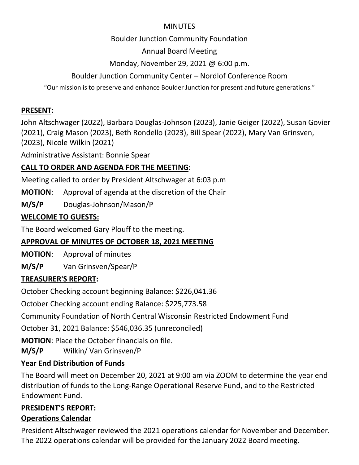#### **MINUTES**

### Boulder Junction Community Foundation

Annual Board Meeting

## Monday, November 29, 2021 @ 6:00 p.m.

## Boulder Junction Community Center – Nordlof Conference Room

"Our mission is to preserve and enhance Boulder Junction for present and future generations."

### **PRESENT:**

John Altschwager (2022), Barbara Douglas-Johnson (2023), Janie Geiger (2022), Susan Govier (2021), Craig Mason (2023), Beth Rondello (2023), Bill Spear (2022), Mary Van Grinsven, (2023), Nicole Wilkin (2021)

Administrative Assistant: Bonnie Spear

## **CALL TO ORDER AND AGENDA FOR THE MEETING:**

Meeting called to order by President Altschwager at 6:03 p.m

**MOTION**: Approval of agenda at the discretion of the Chair

**M/S/P** Douglas-Johnson/Mason/P

### **WELCOME TO GUESTS:**

The Board welcomed Gary Plouff to the meeting.

## **APPROVAL OF MINUTES OF OCTOBER 18, 2021 MEETING**

**MOTION**: Approval of minutes

**M/S/P** Van Grinsven/Spear/P

## **TREASURER'S REPORT:**

October Checking account beginning Balance: \$226,041.36

October Checking account ending Balance: \$225,773.58

Community Foundation of North Central Wisconsin Restricted Endowment Fund

October 31, 2021 Balance: \$546,036.35 (unreconciled)

**MOTION**: Place the October financials on file.

**M/S/P** Wilkin/ Van Grinsven/P

# **Year End Distribution of Funds**

The Board will meet on December 20, 2021 at 9:00 am via ZOOM to determine the year end distribution of funds to the Long-Range Operational Reserve Fund, and to the Restricted Endowment Fund.

### **PRESIDENT'S REPORT: Operations Calendar**

President Altschwager reviewed the 2021 operations calendar for November and December. The 2022 operations calendar will be provided for the January 2022 Board meeting.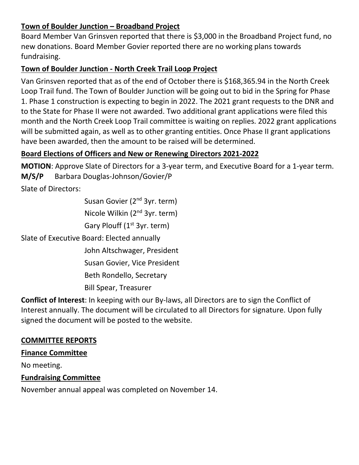### **Town of Boulder Junction – Broadband Project**

Board Member Van Grinsven reported that there is \$3,000 in the Broadband Project fund, no new donations. Board Member Govier reported there are no working plans towards fundraising.

### **Town of Boulder Junction - North Creek Trail Loop Project**

Van Grinsven reported that as of the end of October there is \$168,365.94 in the North Creek Loop Trail fund. The Town of Boulder Junction will be going out to bid in the Spring for Phase 1. Phase 1 construction is expecting to begin in 2022. The 2021 grant requests to the DNR and to the State for Phase II were not awarded. Two additional grant applications were filed this month and the North Creek Loop Trail committee is waiting on replies. 2022 grant applications will be submitted again, as well as to other granting entities. Once Phase II grant applications have been awarded, then the amount to be raised will be determined.

### **Board Elections of Officers and New or Renewing Directors 2021-2022**

**MOTION**: Approve Slate of Directors for a 3-year term, and Executive Board for a 1-year term. **M/S/P** Barbara Douglas-Johnson/Govier/P

Slate of Directors:

Susan Govier (2<sup>nd</sup> 3yr. term)

Nicole Wilkin (2nd 3yr. term)

Gary Plouff (1<sup>st</sup> 3yr. term)

Slate of Executive Board: Elected annually

John Altschwager, President

Susan Govier, Vice President

Beth Rondello, Secretary

Bill Spear, Treasurer

**Conflict of Interest**: In keeping with our By-laws, all Directors are to sign the Conflict of Interest annually. The document will be circulated to all Directors for signature. Upon fully signed the document will be posted to the website.

#### **COMMITTEE REPORTS**

#### **Finance Committee**

No meeting.

#### **Fundraising Committee**

November annual appeal was completed on November 14.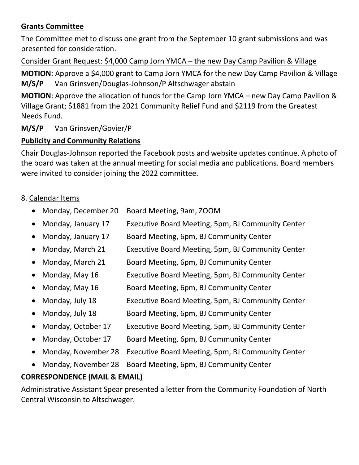### **Grants Committee**

The Committee met to discuss one grant from the September 10 grant submissions and was presented for consideration.

#### Consider Grant Request: \$4,000 Camp Jorn YMCA – the new Day Camp Pavilion & Village

**MOTION**: Approve a \$4,000 grant to Camp Jorn YMCA for the new Day Camp Pavilion & Village **M/S/P** Van Grinsven/Douglas-Johnson/P Altschwager abstain

**MOTION**: Approve the allocation of funds for the Camp Jorn YMCA – new Day Camp Pavilion & Village Grant; \$1881 from the 2021 Community Relief Fund and \$2119 from the Greatest Needs Fund.

### **M/S/P** Van Grinsven/Govier/P

### **Publicity and Community Relations**

Chair Douglas-Johnson reported the Facebook posts and website updates continue. A photo of the board was taken at the annual meeting for social media and publications. Board members were invited to consider joining the 2022 committee.

### 8. Calendar Items

- Monday, December 20 Board Meeting, 9am, ZOOM
- Monday, January 17 Executive Board Meeting, 5pm, BJ Community Center
- Monday, January 17 Board Meeting, 6pm, BJ Community Center
- Monday, March 21 Executive Board Meeting, 5pm, BJ Community Center
- Monday, March 21 Board Meeting, 6pm, BJ Community Center
- Monday, May 16 Executive Board Meeting, 5pm, BJ Community Center
- Monday, May 16 Board Meeting, 6pm, BJ Community Center
- Monday, July 18 Executive Board Meeting, 5pm, BJ Community Center
- Monday, July 18 Board Meeting, 6pm, BJ Community Center
- Monday, October 17 Executive Board Meeting, 5pm, BJ Community Center
- Monday, October 17 Board Meeting, 6pm, BJ Community Center
- Monday, November 28 Executive Board Meeting, 5pm, BJ Community Center
- Monday, November 28 Board Meeting, 6pm, BJ Community Center

### **CORRESPONDENCE (MAIL & EMAIL)**

Administrative Assistant Spear presented a letter from the Community Foundation of North Central Wisconsin to Altschwager.